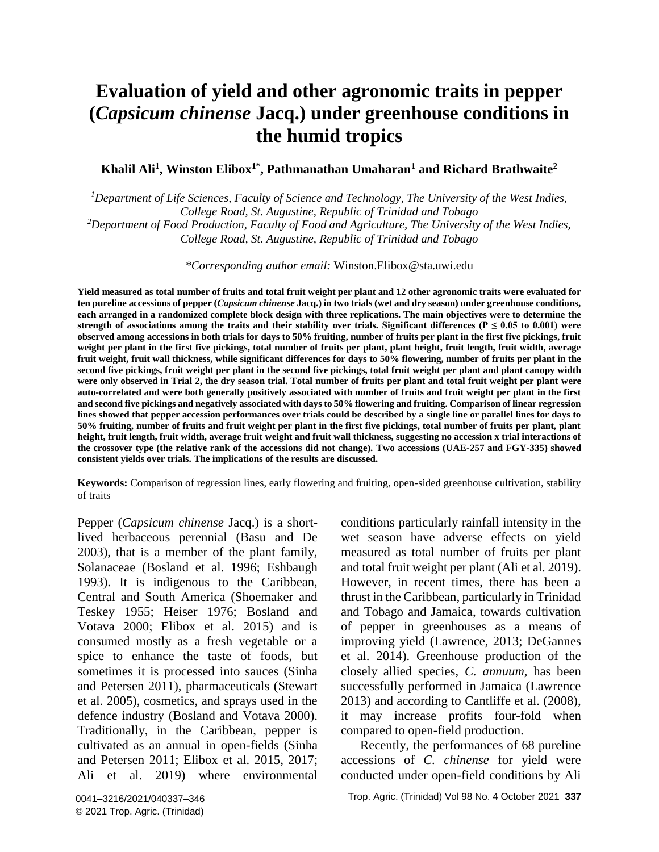# **Evaluation of yield and other agronomic traits in pepper (***Capsicum chinense* **Jacq.) under greenhouse conditions in the humid tropics**

#### **Khalil Ali<sup>1</sup> , Winston Elibox1\* , Pathmanathan Umaharan<sup>1</sup> and Richard Brathwaite<sup>2</sup>**

*<sup>1</sup>Department of Life Sciences, Faculty of Science and Technology, The University of the West Indies, College Road, St. Augustine, Republic of Trinidad and Tobago <sup>2</sup>Department of Food Production, Faculty of Food and Agriculture, The University of the West Indies, College Road, St. Augustine, Republic of Trinidad and Tobago*

*\*Corresponding author email:* Winston.Elibox@sta.uwi.edu

**Yield measured as total number of fruits and total fruit weight per plant and 12 other agronomic traits were evaluated for ten pureline accessions of pepper (***Capsicum chinense* **Jacq.) in two trials (wet and dry season) under greenhouse conditions, each arranged in a randomized complete block design with three replications. The main objectives were to determine the**  strength of associations among the traits and their stability over trials. Significant differences ( $P \le 0.05$  to 0.001) were **observed among accessions in both trials for days to 50% fruiting, number of fruits per plant in the first five pickings, fruit weight per plant in the first five pickings, total number of fruits per plant, plant height, fruit length, fruit width, average fruit weight, fruit wall thickness, while significant differences for days to 50% flowering, number of fruits per plant in the second five pickings, fruit weight per plant in the second five pickings, total fruit weight per plant and plant canopy width were only observed in Trial 2, the dry season trial. Total number of fruits per plant and total fruit weight per plant were auto-correlated and were both generally positively associated with number of fruits and fruit weight per plant in the first and second five pickings and negatively associated with days to 50% flowering and fruiting. Comparison of linear regression lines showed that pepper accession performances over trials could be described by a single line or parallel lines for days to 50% fruiting, number of fruits and fruit weight per plant in the first five pickings, total number of fruits per plant, plant height, fruit length, fruit width, average fruit weight and fruit wall thickness, suggesting no accession x trial interactions of the crossover type (the relative rank of the accessions did not change). Two accessions (UAE-257 and FGY-335) showed consistent yields over trials. The implications of the results are discussed.** 

**Keywords:** Comparison of regression lines, early flowering and fruiting, open-sided greenhouse cultivation, stability of traits

Pepper (*Capsicum chinense* Jacq.) is a shortlived herbaceous perennial (Basu and De 2003), that is a member of the plant family, Solanaceae (Bosland et al. 1996; Eshbaugh 1993). It is indigenous to the Caribbean, Central and South America (Shoemaker and Teskey 1955; Heiser 1976; Bosland and Votava 2000; Elibox et al. 2015) and is consumed mostly as a fresh vegetable or a spice to enhance the taste of foods, but sometimes it is processed into sauces (Sinha and Petersen 2011), pharmaceuticals (Stewart et al. 2005), cosmetics, and sprays used in the defence industry (Bosland and Votava 2000). Traditionally, in the Caribbean, pepper is cultivated as an annual in open-fields (Sinha and Petersen 2011; Elibox et al. 2015, 2017; Ali et al. 2019) where environmental conditions particularly rainfall intensity in the wet season have adverse effects on yield measured as total number of fruits per plant and total fruit weight per plant (Ali et al. 2019). However, in recent times, there has been a thrust in the Caribbean, particularly in Trinidad and Tobago and Jamaica, towards cultivation of pepper in greenhouses as a means of improving yield (Lawrence, 2013; DeGannes et al. 2014). Greenhouse production of the closely allied species, *C. annuum*, has been successfully performed in Jamaica (Lawrence 2013) and according to Cantliffe et al. (2008), it may increase profits four-fold when compared to open-field production.

Recently, the performances of 68 pureline accessions of *C. chinense* for yield were conducted under open-field conditions by Ali

Trop. Agric. (Trinidad) Vol 98 No. 4 October 2021 **337**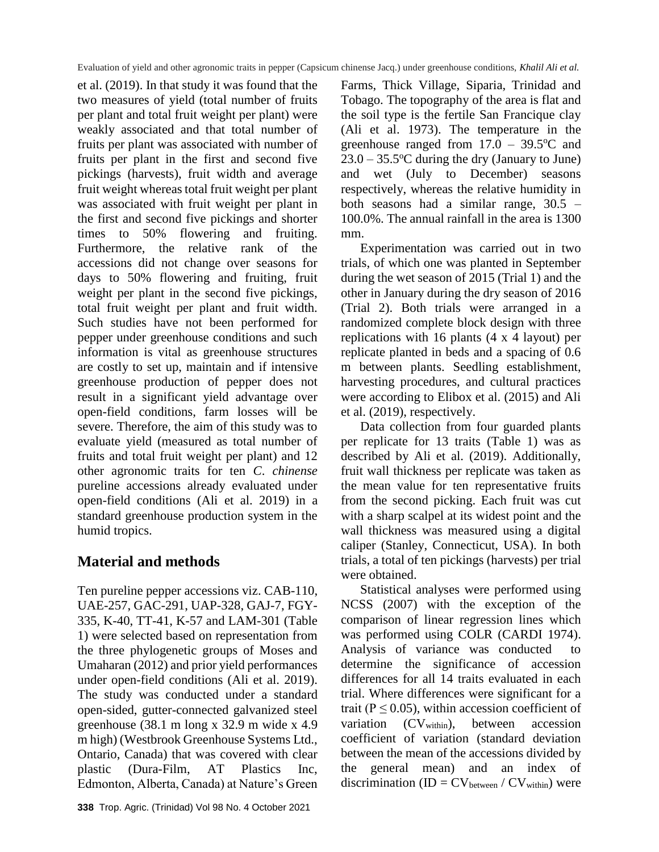et al. (2019). In that study it was found that the two measures of yield (total number of fruits per plant and total fruit weight per plant) were weakly associated and that total number of fruits per plant was associated with number of fruits per plant in the first and second five pickings (harvests), fruit width and average fruit weight whereas total fruit weight per plant was associated with fruit weight per plant in the first and second five pickings and shorter times to 50% flowering and fruiting. Furthermore, the relative rank of the accessions did not change over seasons for days to 50% flowering and fruiting, fruit weight per plant in the second five pickings, total fruit weight per plant and fruit width. Such studies have not been performed for pepper under greenhouse conditions and such information is vital as greenhouse structures are costly to set up, maintain and if intensive greenhouse production of pepper does not result in a significant yield advantage over open-field conditions, farm losses will be severe. Therefore, the aim of this study was to evaluate yield (measured as total number of fruits and total fruit weight per plant) and 12 other agronomic traits for ten *C*. *chinense* pureline accessions already evaluated under open-field conditions (Ali et al. 2019) in a standard greenhouse production system in the humid tropics.

# **Material and methods**

Ten pureline pepper accessions viz. CAB-110, UAE-257, GAC-291, UAP-328, GAJ-7, FGY-335, K-40, TT-41, K-57 and LAM-301 (Table 1) were selected based on representation from the three phylogenetic groups of Moses and Umaharan (2012) and prior yield performances under open-field conditions (Ali et al. 2019). The study was conducted under a standard open-sided, gutter-connected galvanized steel greenhouse (38.1 m long x 32.9 m wide x 4.9 m high) (Westbrook Greenhouse Systems Ltd., Ontario, Canada) that was covered with clear plastic (Dura-Film, AT Plastics Inc, Edmonton, Alberta, Canada) at Nature's Green

Farms, Thick Village, Siparia, Trinidad and Tobago. The topography of the area is flat and the soil type is the fertile San Francique clay (Ali et al. 1973). The temperature in the greenhouse ranged from  $17.0 - 39.5$ °C and  $23.0 - 35.5$ °C during the dry (January to June) and wet (July to December) seasons respectively, whereas the relative humidity in both seasons had a similar range, 30.5 – 100.0%. The annual rainfall in the area is 1300 mm.

Experimentation was carried out in two trials, of which one was planted in September during the wet season of 2015 (Trial 1) and the other in January during the dry season of 2016 (Trial 2). Both trials were arranged in a randomized complete block design with three replications with 16 plants (4 x 4 layout) per replicate planted in beds and a spacing of 0.6 m between plants. Seedling establishment, harvesting procedures, and cultural practices were according to Elibox et al. (2015) and Ali et al. (2019), respectively.

Data collection from four guarded plants per replicate for 13 traits (Table 1) was as described by Ali et al. (2019). Additionally, fruit wall thickness per replicate was taken as the mean value for ten representative fruits from the second picking. Each fruit was cut with a sharp scalpel at its widest point and the wall thickness was measured using a digital caliper (Stanley, Connecticut, USA). In both trials, a total of ten pickings (harvests) per trial were obtained.

Statistical analyses were performed using NCSS (2007) with the exception of the comparison of linear regression lines which was performed using COLR (CARDI 1974). Analysis of variance was conducted to determine the significance of accession differences for all 14 traits evaluated in each trial. Where differences were significant for a trait ( $P \le 0.05$ ), within accession coefficient of variation (CV<sub>within</sub>), between accession coefficient of variation (standard deviation between the mean of the accessions divided by the general mean) and an index of discrimination (ID =  $CV<sub>between</sub> / CV<sub>within</sub>$ ) were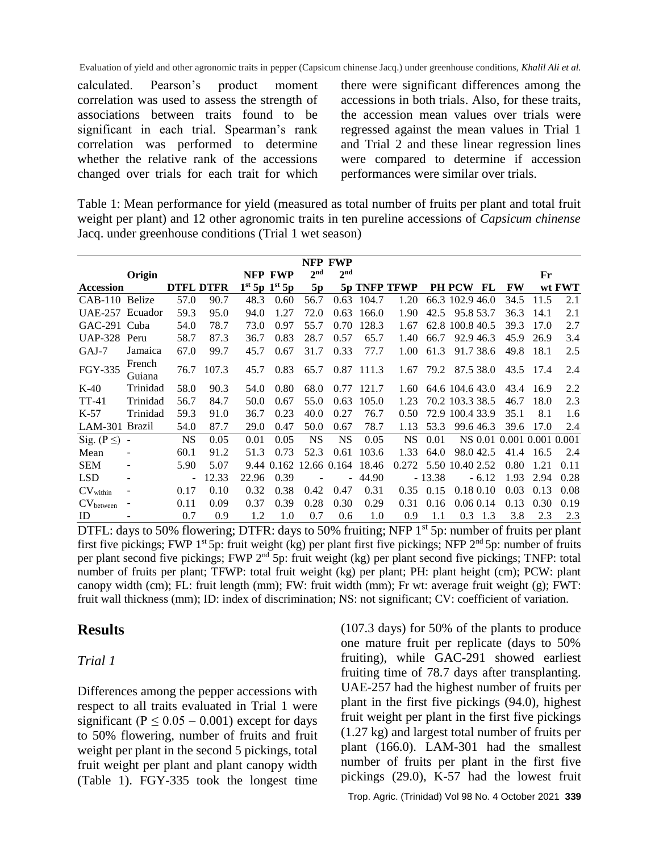calculated. Pearson's product moment correlation was used to assess the strength of associations between traits found to be significant in each trial. Spearman's rank correlation was performed to determine whether the relative rank of the accessions changed over trials for each trait for which there were significant differences among the accessions in both trials. Also, for these traits, the accession mean values over trials were regressed against the mean values in Trial 1 and Trial 2 and these linear regression lines were compared to determine if accession performances were similar over trials.

Table 1: Mean performance for yield (measured as total number of fruits per plant and total fruit weight per plant) and 12 other agronomic traits in ten pureline accessions of *Capsicum chinense* Jacq. under greenhouse conditions (Trial 1 wet season)

|                               | NFP FWP          |                  |       |       |                         |                 |                          |       |              |          |                           |      |      |        |
|-------------------------------|------------------|------------------|-------|-------|-------------------------|-----------------|--------------------------|-------|--------------|----------|---------------------------|------|------|--------|
|                               | Origin           |                  |       |       | NFP FWP                 | 2 <sup>nd</sup> | 2 <sup>nd</sup>          |       |              |          |                           |      | Fr   |        |
| Accession                     |                  | <b>DTFL DTFR</b> |       |       | $1^{st}$ 5p $1^{st}$ 5p | 5p              |                          |       | 5p TNFP TFWP |          | <b>PH PCW</b><br>FL       | FW   |      | wt FWT |
| CAB-110 Belize                |                  | 57.0             | 90.7  | 48.3  | 0.60                    | 56.7            | 0.63                     | 104.7 | 1.20         |          | 66.3 102.9 46.0           | 34.5 | 11.5 | 2.1    |
| <b>UAE-257</b>                | Ecuador          | 59.3             | 95.0  | 94.0  | 1.27                    | 72.0            | 0.63                     | 166.0 | 1.90         | 42.5     | 95.8 53.7                 | 36.3 | 14.1 | 2.1    |
| GAC-291 Cuba                  |                  | 54.0             | 78.7  | 73.0  | 0.97                    | 55.7            | 0.70                     | 128.3 | 1.67         |          | 62.8 100.8 40.5           | 39.3 | 17.0 | 2.7    |
| <b>UAP-328</b>                | Peru             | 58.7             | 87.3  | 36.7  | 0.83                    | 28.7            | 0.57                     | 65.7  | 1.40         | 66.7     | 92.9 46.3                 | 45.9 | 26.9 | 3.4    |
| GAJ-7                         | Jamaica          | 67.0             | 99.7  | 45.7  | 0.67                    | 31.7            | 0.33                     | 77.7  | 1.00         | 61.3     | 91.7 38.6                 | 49.8 | 18.1 | 2.5    |
| FGY-335                       | French<br>Guiana | 76.7             | 107.3 | 45.7  | 0.83                    | 65.7            | 0.87                     | 111.3 | 1.67         | 79.2     | 87.5 38.0                 | 43.5 | 17.4 | 2.4    |
| $K-40$                        | Trinidad         | 58.0             | 90.3  | 54.0  | 0.80                    | 68.0            | 0.77                     | 121.7 | 1.60         |          | 64.6 104.6 43.0           | 43.4 | 16.9 | 2.2    |
| $TT-41$                       | Trinidad         | 56.7             | 84.7  | 50.0  | 0.67                    | 55.0            | 0.63                     | 105.0 | 1.23         |          | 70.2 103.3 38.5           | 46.7 | 18.0 | 2.3    |
| $K-57$                        | Trinidad         | 59.3             | 91.0  | 36.7  | 0.23                    | 40.0            | 0.27                     | 76.7  | 0.50         |          | 72.9 100.4 33.9           | 35.1 | 8.1  | 1.6    |
| LAM-301 Brazil                |                  | 54.0             | 87.7  | 29.0  | 0.47                    | 50.0            | 0.67                     | 78.7  | 1.13         | 53.3     | 99.6 46.3                 | 39.6 | 17.0 | 2.4    |
| Sig. $(P \leq)$ -             |                  | <b>NS</b>        | 0.05  | 0.01  | 0.05                    | <b>NS</b>       | <b>NS</b>                | 0.05  | <b>NS</b>    | 0.01     | NS 0.01 0.001 0.001 0.001 |      |      |        |
| Mean                          |                  | 60.1             | 91.2  | 51.3  | 0.73                    | 52.3            | 0.61                     | 103.6 | 1.33         | 64.0     | 98.042.5                  | 41.4 | 16.5 | 2.4    |
| <b>SEM</b>                    |                  | 5.90             | 5.07  | 9.44  | 0.162                   |                 | 12.66 0.164              | 18.46 | 0.272        |          | 5.50 10.40 2.52           | 0.80 | 1.21 | 0.11   |
| <b>LSD</b>                    |                  | ÷.               | 12.33 | 22.96 | 0.39                    |                 | $\overline{\phantom{0}}$ | 44.90 |              | $-13.38$ | $-6.12$                   | 1.93 | 2.94 | 0.28   |
| $\mathrm{CV}_\mathrm{within}$ |                  | 0.17             | 0.10  | 0.32  | 0.38                    | 0.42            | 0.47                     | 0.31  | 0.35         | 0.15     | $0.18\ 0.10$              | 0.03 | 0.13 | 0.08   |
| CV <sub>between</sub>         |                  | 0.11             | 0.09  | 0.37  | 0.39                    | 0.28            | 0.30                     | 0.29  | 0.31         | 0.16     | 0.060.14                  | 0.13 | 0.30 | 0.19   |
| ID                            |                  | 0.7              | 0.9   | 1.2   | 1.0                     | 0.7             | 0.6                      | 1.0   | 0.9          | 1.1      | 1.3<br>0.3                | 3.8  | 2.3  | 2.3    |

DTFL: days to 50% flowering; DTFR: days to 50% fruiting; NFP 1<sup>st</sup> 5p: number of fruits per plant first five pickings; FWP 1<sup>st</sup> 5p: fruit weight (kg) per plant first five pickings; NFP  $2^{nd}$  5p: number of fruits per plant second five pickings; FWP 2<sup>nd</sup> 5p: fruit weight (kg) per plant second five pickings; TNFP: total number of fruits per plant; TFWP: total fruit weight (kg) per plant; PH: plant height (cm); PCW: plant canopy width (cm); FL: fruit length (mm); FW: fruit width (mm); Fr wt: average fruit weight (g); FWT: fruit wall thickness (mm); ID: index of discrimination; NS: not significant; CV: coefficient of variation.

## **Results**

### *Trial 1*

Differences among the pepper accessions with respect to all traits evaluated in Trial 1 were significant ( $P \le 0.05 - 0.001$ ) except for days to 50% flowering, number of fruits and fruit weight per plant in the second 5 pickings, total fruit weight per plant and plant canopy width (Table 1). FGY-335 took the longest time (107.3 days) for 50% of the plants to produce one mature fruit per replicate (days to 50% fruiting), while GAC-291 showed earliest fruiting time of 78.7 days after transplanting. UAE-257 had the highest number of fruits per plant in the first five pickings (94.0), highest fruit weight per plant in the first five pickings (1.27 kg) and largest total number of fruits per plant (166.0). LAM-301 had the smallest number of fruits per plant in the first five pickings (29.0), K-57 had the lowest fruit

Trop. Agric. (Trinidad) Vol 98 No. 4 October 2021 **339**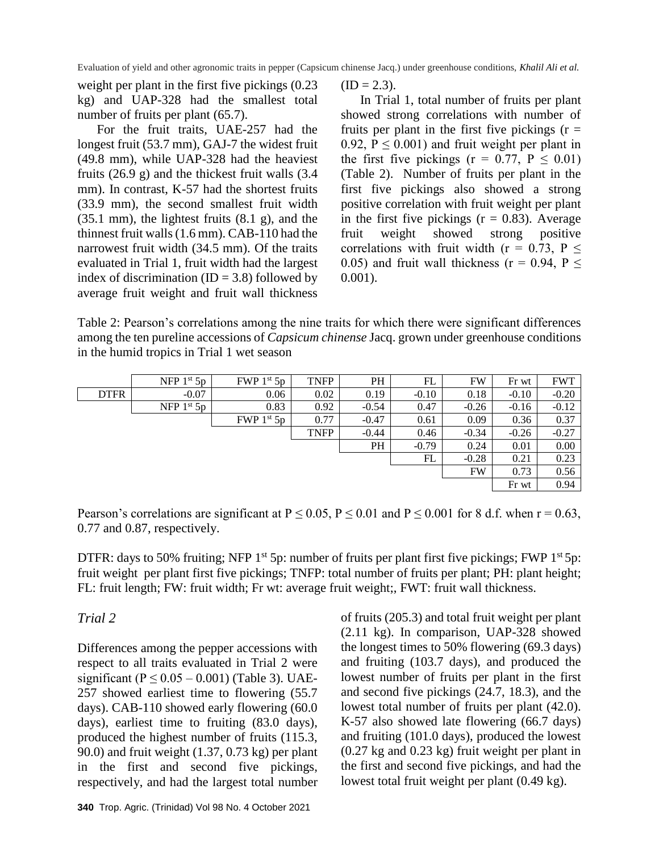weight per plant in the first five pickings (0.23 kg) and UAP-328 had the smallest total number of fruits per plant (65.7).

For the fruit traits, UAE-257 had the longest fruit (53.7 mm), GAJ-7 the widest fruit (49.8 mm), while UAP-328 had the heaviest fruits (26.9 g) and the thickest fruit walls (3.4 mm). In contrast, K-57 had the shortest fruits (33.9 mm), the second smallest fruit width (35.1 mm), the lightest fruits (8.1 g), and the thinnest fruit walls(1.6 mm). CAB-110 had the narrowest fruit width (34.5 mm). Of the traits evaluated in Trial 1, fruit width had the largest index of discrimination  $(ID = 3.8)$  followed by average fruit weight and fruit wall thickness

 $(ID = 2.3).$ 

In Trial 1, total number of fruits per plant showed strong correlations with number of fruits per plant in the first five pickings  $(r =$ 0.92,  $P \le 0.001$ ) and fruit weight per plant in the first five pickings ( $r = 0.77$ ,  $P \le 0.01$ ) (Table 2). Number of fruits per plant in the first five pickings also showed a strong positive correlation with fruit weight per plant in the first five pickings  $(r = 0.83)$ . Average fruit weight showed strong positive correlations with fruit width ( $r = 0.73$ ,  $P \le$ 0.05) and fruit wall thickness ( $r = 0.94$ ,  $P \le$ 0.001).

Table 2: Pearson's correlations among the nine traits for which there were significant differences among the ten pureline accessions of *Capsicum chinense* Jacq. grown under greenhouse conditions in the humid tropics in Trial 1 wet season

|             | NFP $1st 5p$ | FWP $1st 5p$ | <b>TNFP</b> | PH      | FL      | FW      | Fr wt   | <b>FWT</b> |
|-------------|--------------|--------------|-------------|---------|---------|---------|---------|------------|
| <b>DTFR</b> | $-0.07$      | 0.06         | 0.02        | 0.19    | $-0.10$ | 0.18    | $-0.10$ | $-0.20$    |
|             | NFP $1st 5p$ | 0.83         | 0.92        | $-0.54$ | 0.47    | $-0.26$ | $-0.16$ | $-0.12$    |
|             |              | FWP $1st 5p$ | 0.77        | $-0.47$ | 0.61    | 0.09    | 0.36    | 0.37       |
|             |              |              | <b>TNFP</b> | $-0.44$ | 0.46    | $-0.34$ | $-0.26$ | $-0.27$    |
|             |              |              |             | PH      | $-0.79$ | 0.24    | 0.01    | 0.00       |
|             |              |              |             |         | FL      | $-0.28$ | 0.21    | 0.23       |
|             |              |              |             |         |         | FW      | 0.73    | 0.56       |
|             |              |              |             |         |         |         | Fr wt   | 0.94       |

Pearson's correlations are significant at  $P \le 0.05$ ,  $P \le 0.01$  and  $P \le 0.001$  for 8 d.f. when  $r = 0.63$ , 0.77 and 0.87, respectively.

DTFR: days to 50% fruiting; NFP  $1<sup>st</sup>$  5p: number of fruits per plant first five pickings; FWP  $1<sup>st</sup>$  5p: fruit weight per plant first five pickings; TNFP: total number of fruits per plant; PH: plant height; FL: fruit length; FW: fruit width; Fr wt: average fruit weight;, FWT: fruit wall thickness.

### *Trial 2*

Differences among the pepper accessions with respect to all traits evaluated in Trial 2 were significant ( $P \le 0.05 - 0.001$ ) (Table 3). UAE-257 showed earliest time to flowering (55.7 days). CAB-110 showed early flowering (60.0 days), earliest time to fruiting (83.0 days), produced the highest number of fruits (115.3, 90.0) and fruit weight (1.37, 0.73 kg) per plant in the first and second five pickings, respectively, and had the largest total number of fruits (205.3) and total fruit weight per plant (2.11 kg). In comparison, UAP-328 showed the longest times to 50% flowering (69.3 days) and fruiting (103.7 days), and produced the lowest number of fruits per plant in the first and second five pickings (24.7, 18.3), and the lowest total number of fruits per plant (42.0). K-57 also showed late flowering (66.7 days) and fruiting (101.0 days), produced the lowest (0.27 kg and 0.23 kg) fruit weight per plant in the first and second five pickings, and had the lowest total fruit weight per plant (0.49 kg).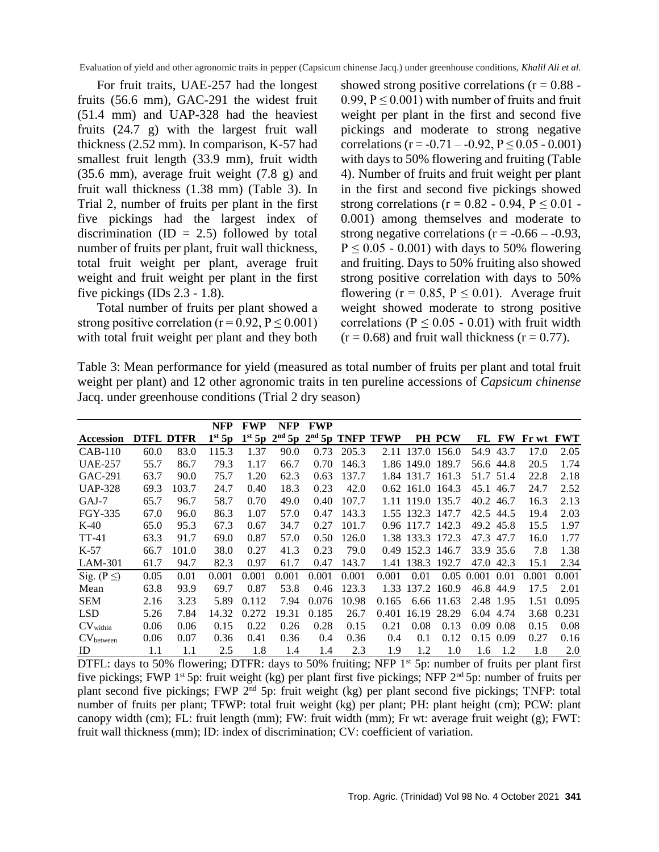For fruit traits, UAE-257 had the longest fruits (56.6 mm), GAC-291 the widest fruit (51.4 mm) and UAP-328 had the heaviest fruits (24.7 g) with the largest fruit wall thickness (2.52 mm). In comparison, K-57 had smallest fruit length (33.9 mm), fruit width (35.6 mm), average fruit weight (7.8 g) and fruit wall thickness (1.38 mm) (Table 3). In Trial 2, number of fruits per plant in the first five pickings had the largest index of discrimination (ID = 2.5) followed by total number of fruits per plant, fruit wall thickness, total fruit weight per plant, average fruit weight and fruit weight per plant in the first five pickings (IDs 2.3 - 1.8).

Total number of fruits per plant showed a strong positive correlation ( $r = 0.92$ ,  $P \le 0.001$ ) with total fruit weight per plant and they both showed strong positive correlations  $(r = 0.88 -$ 0.99,  $P \le 0.001$ ) with number of fruits and fruit weight per plant in the first and second five pickings and moderate to strong negative correlations (r = -0.71 – -0.92,  $P \le 0.05$  - 0.001) with days to 50% flowering and fruiting (Table 4). Number of fruits and fruit weight per plant in the first and second five pickings showed strong correlations ( $r = 0.82 - 0.94$ ,  $P \le 0.01$ . 0.001) among themselves and moderate to strong negative correlations ( $r = -0.66 - -0.93$ ,  $P \leq 0.05$  - 0.001) with days to 50% flowering and fruiting. Days to 50% fruiting also showed strong positive correlation with days to 50% flowering ( $r = 0.85$ ,  $P \le 0.01$ ). Average fruit weight showed moderate to strong positive correlations ( $P \le 0.05 - 0.01$ ) with fruit width  $(r = 0.68)$  and fruit wall thickness  $(r = 0.77)$ .

Table 3: Mean performance for yield (measured as total number of fruits per plant and total fruit weight per plant) and 12 other agronomic traits in ten pureline accessions of *Capsicum chinense* Jacq. under greenhouse conditions (Trial 2 dry season)

|                       |        |         | <b>NFP</b>         | <b>FWP</b>         | NFP   | <b>FWP</b> |       |                             |                  |               |                 |           |       |            |
|-----------------------|--------|---------|--------------------|--------------------|-------|------------|-------|-----------------------------|------------------|---------------|-----------------|-----------|-------|------------|
| Accession             | DTFL D | TFR     | 1 <sup>st</sup> 5p | 1 <sup>st</sup> 5p |       |            |       | $2nd$ 5p $2nd$ 5p TNFP TFWP |                  | <b>PH PCW</b> | FL              | <b>FW</b> | Fr wt | <b>FWT</b> |
| $CAB-110$             | 60.0   | 83.0    | 115.3              | 1.37               | 90.0  | 0.73       | 205.3 | 2.11                        | 137.0            | 156.0         | 54.9            | 43.7      | 17.0  | 2.05       |
| <b>UAE-257</b>        | 55.7   | 86.7    | 79.3               | 1.17               | 66.7  | 0.70       | 146.3 |                             | 1.86 149.0       | 189.7         | 56.6            | 44.8      | 20.5  | 1.74       |
| GAC-291               | 63.7   | 90.0    | 75.7               | 1.20               | 62.3  | 0.63       | 137.7 | 1.84                        | 131.7            | 161.3         | 51.7            | 51.4      | 22.8  | 2.18       |
| <b>UAP-328</b>        | 69.3   | 103.7   | 24.7               | 0.40               | 18.3  | 0.23       | 42.0  |                             | $0.62$ 161.0     | 164.3         | 45.1            | 46.7      | 24.7  | 2.52       |
| $GAJ-7$               | 65.7   | 96.7    | 58.7               | 0.70               | 49.0  | 0.40       | 107.7 |                             | 1.11 119.0 135.7 |               | 40.2            | 46.7      | 16.3  | 2.13       |
| FGY-335               | 67.0   | 96.0    | 86.3               | 1.07               | 57.0  | 0.47       | 143.3 |                             | 1.55 132.3 147.7 |               | 42.5            | 44.5      | 19.4  | 2.03       |
| $K-40$                | 65.0   | 95.3    | 67.3               | 0.67               | 34.7  | 0.27       | 101.7 |                             | 0.96 117.7 142.3 |               | 49.2            | 45.8      | 15.5  | 1.97       |
| TT-41                 | 63.3   | 91.7    | 69.0               | 0.87               | 57.0  | 0.50       | 126.0 |                             | 1.38 133.3 172.3 |               | 47.3            | 47.7      | 16.0  | 1.77       |
| $K-57$                | 66.7   | 101.0   | 38.0               | 0.27               | 41.3  | 0.23       | 79.0  |                             | 0.49 152.3 146.7 |               |                 | 33.9 35.6 | 7.8   | 1.38       |
| LAM-301               | 61.7   | 94.7    | 82.3               | 0.97               | 61.7  | 0.47       | 143.7 | 1.41                        | 138.3 192.7      |               | 47.0            | 42.3      | 15.1  | 2.34       |
| Sig. ( $P \leq$ )     | 0.05   | 0.01    | 0.001              | 0.001              | 0.001 | 0.001      | 0.001 | 0.001                       | 0.01             |               | 0.05 0.001 0.01 |           | 0.001 | 0.001      |
| Mean                  | 63.8   | 93.9    | 69.7               | 0.87               | 53.8  | 0.46       | 123.3 | 1.33                        |                  | 137.2 160.9   |                 | 46.8 44.9 | 17.5  | 2.01       |
| <b>SEM</b>            | 2.16   | 3.23    | 5.89               | 0.112              | 7.94  | 0.076      | 10.98 | 0.165                       |                  | 6.66 11.63    | 2.48            | 1.95      | 1.51  | 0.095      |
| <b>LSD</b>            | 5.26   | 7.84    | 14.32              | 0.272              | 19.31 | 0.185      | 26.7  | 0.401                       | 16.19            | 28.29         | 6.04            | 4.74      | 3.68  | 0.231      |
| CV <sub>within</sub>  | 0.06   | 0.06    | 0.15               | 0.22               | 0.26  | 0.28       | 0.15  | 0.21                        | 0.08             | 0.13          | 0.09            | 0.08      | 0.15  | 0.08       |
| CV <sub>between</sub> | 0.06   | 0.07    | 0.36               | 0.41               | 0.36  | 0.4        | 0.36  | 0.4                         | 0.1              | 0.12          | 0.15            | 0.09      | 0.27  | 0.16       |
| ID                    | 1.1    | $1.1\,$ | 2.5                | 1.8                | 1.4   | 1.4        | 2.3   | 1.9                         | 1.2              | 1.0           | 1.6             | 1.2       | 1.8   | 2.0        |

DTFL: days to 50% flowering; DTFR: days to 50% fruiting; NFP  $1<sup>st</sup>$  5p: number of fruits per plant first five pickings; FWP 1<sup>st</sup> 5p: fruit weight (kg) per plant first five pickings; NFP 2<sup>nd</sup> 5p: number of fruits per plant second five pickings; FWP 2<sup>nd</sup> 5p: fruit weight (kg) per plant second five pickings; TNFP: total number of fruits per plant; TFWP: total fruit weight (kg) per plant; PH: plant height (cm); PCW: plant canopy width (cm); FL: fruit length (mm); FW: fruit width (mm); Fr wt: average fruit weight (g); FWT: fruit wall thickness (mm); ID: index of discrimination; CV: coefficient of variation.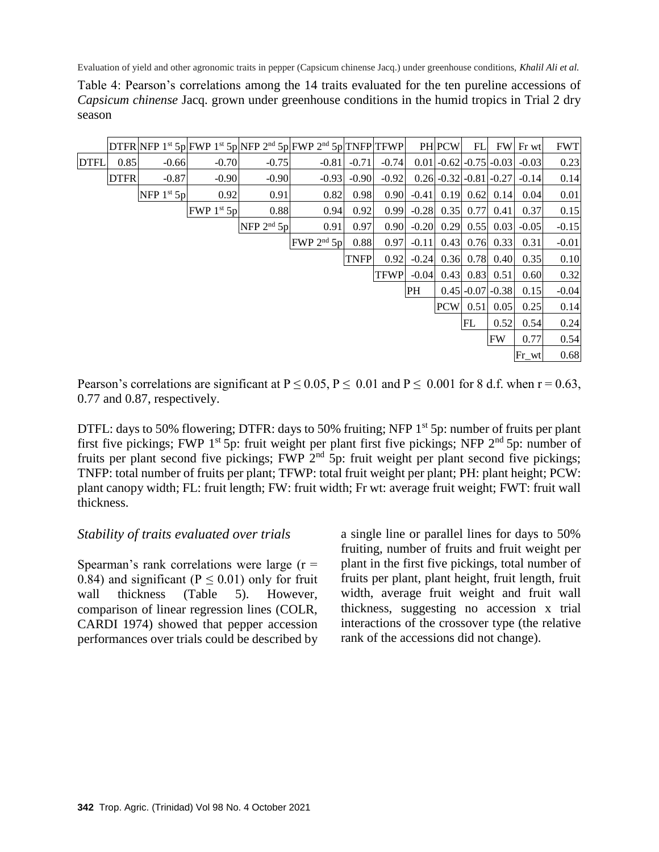Table 4: Pearson's correlations among the 14 traits evaluated for the ten pureline accessions of *Capsicum chinense* Jacq. grown under greenhouse conditions in the humid tropics in Trial 2 dry season

|             |             |              |              |              | $DTFR$ NFP 1 <sup>st</sup> 5p FWP 1 <sup>st</sup> 5p NFP 2 <sup>nd</sup> 5p FWP 2 <sup>nd</sup> 5p TNFP TFWP |             |             |         | PH PCW                   | FL   | <b>FW</b>          | Fr wt     | <b>FWT</b> |
|-------------|-------------|--------------|--------------|--------------|--------------------------------------------------------------------------------------------------------------|-------------|-------------|---------|--------------------------|------|--------------------|-----------|------------|
| <b>DTFL</b> | 0.85        | $-0.66$      | $-0.70$      | $-0.75$      | $-0.81$                                                                                                      | $-0.71$     | $-0.74$     |         | $0.01$ -0.62 -0.75 -0.03 |      |                    | $-0.03$   | 0.23       |
|             | <b>DTFR</b> | $-0.87$      | $-0.90$      | $-0.90$      | $-0.93$                                                                                                      | $-0.90$     | $-0.92$     |         | $0.26$ -0.32 -0.81 -0.27 |      |                    | $-0.14$   | 0.14       |
|             |             | NFP $1st 5p$ | 0.92         | 0.91         | 0.82                                                                                                         | 0.98        | 0.90        | $-0.41$ |                          |      | $0.19$ 0.62 0.14   | 0.04      | 0.01       |
|             |             |              | FWP $1st 5p$ | 0.88         | 0.94                                                                                                         | 0.92        | 0.99        | $-0.28$ | 0.35                     | 0.77 | 0.41               | 0.37      | 0.15       |
|             |             |              |              | NFP $2nd 5p$ | 0.91                                                                                                         | 0.97        | 0.90        | $-0.20$ | 0.29                     | 0.55 | 0.03               | $-0.05$   | $-0.15$    |
|             |             |              |              |              | FWP 2 <sup>nd</sup> 5p                                                                                       | 0.88        | 0.97        | $-0.11$ | 0.43                     |      | $0.76$ 0.33        | 0.31      | $-0.01$    |
|             |             |              |              |              |                                                                                                              | <b>TNFP</b> | 0.92        | $-0.24$ | 0.36                     |      | $0.78 \, 0.40$     | 0.35      | 0.10       |
|             |             |              |              |              |                                                                                                              |             | <b>TFWP</b> | $-0.04$ | 0.43                     |      | $0.83 \, 0.51$     | 0.60      | 0.32       |
|             |             |              |              |              |                                                                                                              |             |             | PH      |                          |      | $0.45$ -0.07 -0.38 | 0.15      | $-0.04$    |
|             |             |              |              |              |                                                                                                              |             |             |         | <b>PCW</b>               | 0.51 | 0.05               | 0.25      | 0.14       |
|             |             |              |              |              |                                                                                                              |             |             |         |                          | FL   | 0.52               | 0.54      | 0.24       |
|             |             |              |              |              |                                                                                                              |             |             |         |                          |      | <b>FW</b>          | 0.77      | 0.54       |
|             |             |              |              |              |                                                                                                              |             |             |         |                          |      |                    | $Fr_{wt}$ | 0.68       |

Pearson's correlations are significant at  $P \le 0.05$ ,  $P \le 0.01$  and  $P \le 0.001$  for 8 d.f. when  $r = 0.63$ , 0.77 and 0.87, respectively.

DTFL: days to 50% flowering; DTFR: days to 50% fruiting; NFP 1<sup>st</sup> 5p: number of fruits per plant first five pickings; FWP 1<sup>st</sup> 5p: fruit weight per plant first five pickings; NFP 2<sup>nd</sup> 5p: number of fruits per plant second five pickings; FWP  $2<sup>nd</sup>$  5p: fruit weight per plant second five pickings; TNFP: total number of fruits per plant; TFWP: total fruit weight per plant; PH: plant height; PCW: plant canopy width; FL: fruit length; FW: fruit width; Fr wt: average fruit weight; FWT: fruit wall thickness.

#### *Stability of traits evaluated over trials*

Spearman's rank correlations were large  $(r =$ 0.84) and significant ( $P \le 0.01$ ) only for fruit wall thickness (Table 5). However, comparison of linear regression lines (COLR, CARDI 1974) showed that pepper accession performances over trials could be described by a single line or parallel lines for days to 50% fruiting, number of fruits and fruit weight per plant in the first five pickings, total number of fruits per plant, plant height, fruit length, fruit width, average fruit weight and fruit wall thickness, suggesting no accession x trial interactions of the crossover type (the relative rank of the accessions did not change).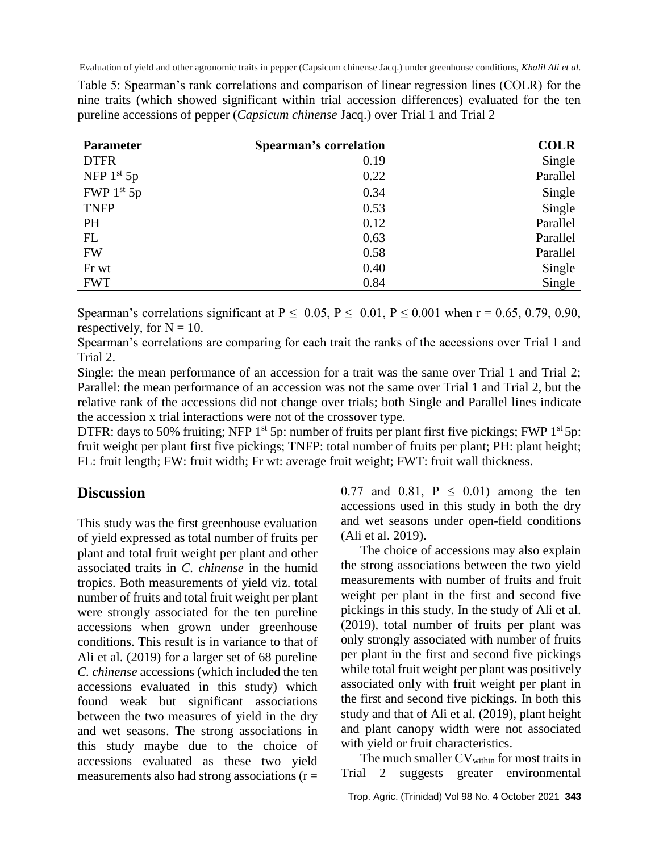Table 5: Spearman's rank correlations and comparison of linear regression lines (COLR) for the nine traits (which showed significant within trial accession differences) evaluated for the ten pureline accessions of pepper (*Capsicum chinense* Jacq.) over Trial 1 and Trial 2

| <b>Parameter</b> | <b>Spearman's correlation</b> | <b>COLR</b> |
|------------------|-------------------------------|-------------|
| <b>DTFR</b>      | 0.19                          | Single      |
| NFP $1st 5p$     | 0.22                          | Parallel    |
| FWP $1st 5p$     | 0.34                          | Single      |
| <b>TNFP</b>      | 0.53                          | Single      |
| <b>PH</b>        | 0.12                          | Parallel    |
| FL               | 0.63                          | Parallel    |
| <b>FW</b>        | 0.58                          | Parallel    |
| Fr wt            | 0.40                          | Single      |
| <b>FWT</b>       | 0.84                          | Single      |

Spearman's correlations significant at  $P \le 0.05$ ,  $P \le 0.01$ ,  $P \le 0.001$  when  $r = 0.65$ , 0.79, 0.90, respectively, for  $N = 10$ .

Spearman's correlations are comparing for each trait the ranks of the accessions over Trial 1 and Trial 2.

Single: the mean performance of an accession for a trait was the same over Trial 1 and Trial 2; Parallel: the mean performance of an accession was not the same over Trial 1 and Trial 2, but the relative rank of the accessions did not change over trials; both Single and Parallel lines indicate the accession x trial interactions were not of the crossover type.

DTFR: days to 50% fruiting; NFP  $1^{st}$  5p: number of fruits per plant first five pickings; FWP  $1^{st}$  5p: fruit weight per plant first five pickings; TNFP: total number of fruits per plant; PH: plant height; FL: fruit length; FW: fruit width; Fr wt: average fruit weight; FWT: fruit wall thickness.

## **Discussion**

This study was the first greenhouse evaluation of yield expressed as total number of fruits per plant and total fruit weight per plant and other associated traits in *C. chinense* in the humid tropics. Both measurements of yield viz. total number of fruits and total fruit weight per plant were strongly associated for the ten pureline accessions when grown under greenhouse conditions. This result is in variance to that of Ali et al. (2019) for a larger set of 68 pureline *C. chinense* accessions (which included the ten accessions evaluated in this study) which found weak but significant associations between the two measures of yield in the dry and wet seasons. The strong associations in this study maybe due to the choice of accessions evaluated as these two yield measurements also had strong associations (r =

0.77 and 0.81,  $P \le 0.01$  among the ten accessions used in this study in both the dry and wet seasons under open-field conditions (Ali et al. 2019).

The choice of accessions may also explain the strong associations between the two yield measurements with number of fruits and fruit weight per plant in the first and second five pickings in this study. In the study of Ali et al. (2019), total number of fruits per plant was only strongly associated with number of fruits per plant in the first and second five pickings while total fruit weight per plant was positively associated only with fruit weight per plant in the first and second five pickings. In both this study and that of Ali et al. (2019), plant height and plant canopy width were not associated with yield or fruit characteristics.

The much smaller  $CV<sub>within</sub>$  for most traits in Trial 2 suggests greater environmental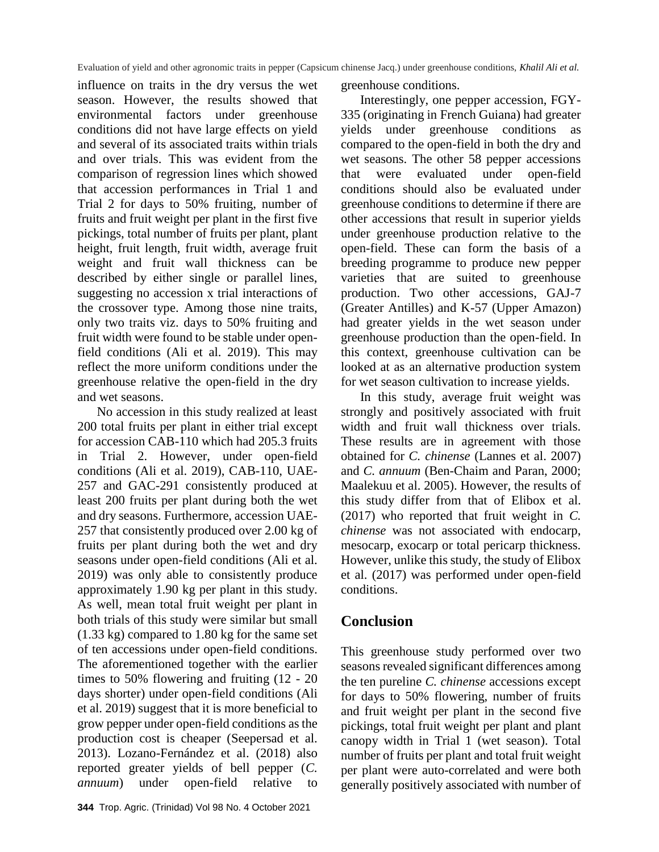influence on traits in the dry versus the wet season. However, the results showed that environmental factors under greenhouse conditions did not have large effects on yield and several of its associated traits within trials and over trials. This was evident from the comparison of regression lines which showed that accession performances in Trial 1 and Trial 2 for days to 50% fruiting, number of fruits and fruit weight per plant in the first five pickings, total number of fruits per plant, plant height, fruit length, fruit width, average fruit weight and fruit wall thickness can be described by either single or parallel lines, suggesting no accession x trial interactions of the crossover type. Among those nine traits, only two traits viz. days to 50% fruiting and fruit width were found to be stable under openfield conditions (Ali et al. 2019). This may reflect the more uniform conditions under the greenhouse relative the open-field in the dry and wet seasons.

No accession in this study realized at least 200 total fruits per plant in either trial except for accession CAB-110 which had 205.3 fruits in Trial 2. However, under open-field conditions (Ali et al. 2019), CAB-110, UAE-257 and GAC-291 consistently produced at least 200 fruits per plant during both the wet and dry seasons. Furthermore, accession UAE-257 that consistently produced over 2.00 kg of fruits per plant during both the wet and dry seasons under open-field conditions (Ali et al. 2019) was only able to consistently produce approximately 1.90 kg per plant in this study. As well, mean total fruit weight per plant in both trials of this study were similar but small (1.33 kg) compared to 1.80 kg for the same set of ten accessions under open-field conditions. The aforementioned together with the earlier times to 50% flowering and fruiting (12 - 20 days shorter) under open-field conditions (Ali et al. 2019) suggest that it is more beneficial to grow pepper under open-field conditions as the production cost is cheaper (Seepersad et al. 2013). Lozano-Fernández et al. (2018) also reported greater yields of bell pepper (*C. annuum*) under open-field relative to greenhouse conditions.

Interestingly, one pepper accession, FGY-335 (originating in French Guiana) had greater yields under greenhouse conditions as compared to the open-field in both the dry and wet seasons. The other 58 pepper accessions that were evaluated under open-field conditions should also be evaluated under greenhouse conditions to determine if there are other accessions that result in superior yields under greenhouse production relative to the open-field. These can form the basis of a breeding programme to produce new pepper varieties that are suited to greenhouse production. Two other accessions, GAJ-7 (Greater Antilles) and K-57 (Upper Amazon) had greater yields in the wet season under greenhouse production than the open-field. In this context, greenhouse cultivation can be looked at as an alternative production system for wet season cultivation to increase yields.

In this study, average fruit weight was strongly and positively associated with fruit width and fruit wall thickness over trials. These results are in agreement with those obtained for *C. chinense* (Lannes et al. 2007) and *C. annuum* (Ben-Chaim and Paran, 2000; Maalekuu et al. 2005). However, the results of this study differ from that of Elibox et al. (2017) who reported that fruit weight in *C. chinense* was not associated with endocarp, mesocarp, exocarp or total pericarp thickness. However, unlike this study, the study of Elibox et al. (2017) was performed under open-field conditions.

## **Conclusion**

This greenhouse study performed over two seasons revealed significant differences among the ten pureline *C. chinense* accessions except for days to 50% flowering, number of fruits and fruit weight per plant in the second five pickings, total fruit weight per plant and plant canopy width in Trial 1 (wet season). Total number of fruits per plant and total fruit weight per plant were auto-correlated and were both generally positively associated with number of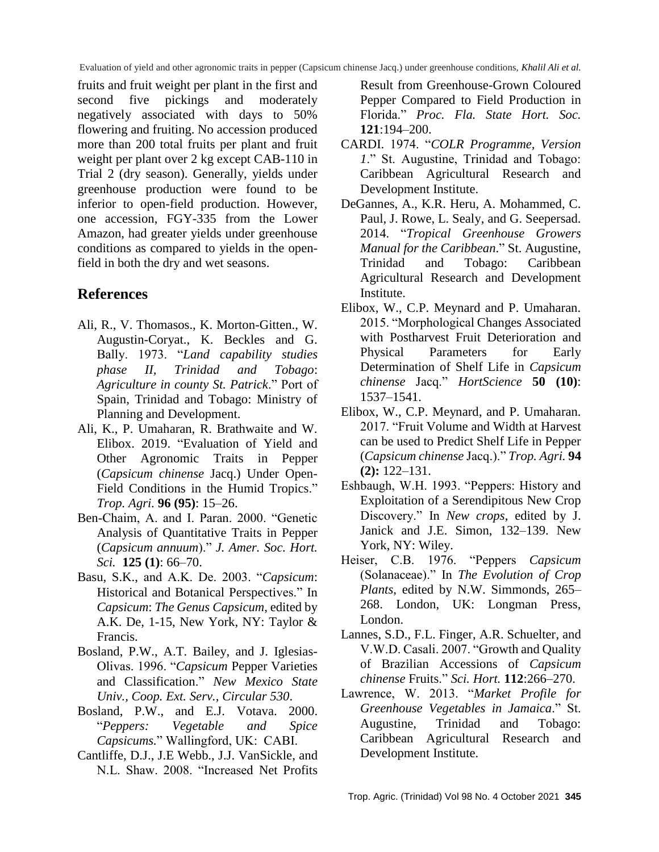fruits and fruit weight per plant in the first and second five pickings and moderately negatively associated with days to 50% flowering and fruiting. No accession produced more than 200 total fruits per plant and fruit weight per plant over 2 kg except CAB-110 in Trial 2 (dry season). Generally, yields under greenhouse production were found to be inferior to open-field production. However, one accession, FGY-335 from the Lower Amazon, had greater yields under greenhouse conditions as compared to yields in the openfield in both the dry and wet seasons.

## **References**

- Ali, R., V. Thomasos., K. Morton-Gitten., W. Augustin-Coryat., K. Beckles and G. Bally. 1973. "*Land capability studies phase II, Trinidad and Tobago*: *Agriculture in county St. Patrick*." Port of Spain, Trinidad and Tobago: Ministry of Planning and Development.
- Ali, K., P. Umaharan, R. Brathwaite and W. Elibox. 2019. "Evaluation of Yield and Other Agronomic Traits in Pepper (*Capsicum chinense* Jacq.) Under Open-Field Conditions in the Humid Tropics." *Trop. Agri.* **96 (95)**: 15–26.
- Ben-Chaim, A. and I. Paran. 2000. "Genetic Analysis of Quantitative Traits in Pepper (*Capsicum annuum*)." *J. Amer. Soc. Hort. Sci.* **125 (1)**: 66–70.
- Basu, S.K., and A.K. De. 2003. "*Capsicum*: Historical and Botanical Perspectives." In *Capsicum*: *The Genus Capsicum*, edited by A.K. De, 1-15, New York, NY: Taylor & Francis.
- Bosland, P.W., A.T. Bailey, and J. Iglesias-Olivas. 1996. "*Capsicum* Pepper Varieties and Classification." *New Mexico State Univ., Coop. Ext. Serv., Circular 530*.
- Bosland, P.W., and E.J. Votava. 2000. "*Peppers: Vegetable and Spice Capsicums.*" Wallingford, UK: CABI.
- Cantliffe, D.J., J.E Webb., J.J. VanSickle, and N.L. Shaw. 2008. "Increased Net Profits

Result from Greenhouse-Grown Coloured Pepper Compared to Field Production in Florida." *Proc. Fla. State Hort. Soc.* **121**:194–200.

- CARDI. 1974. "*COLR Programme, Version 1*." St. Augustine, Trinidad and Tobago: Caribbean Agricultural Research and Development Institute.
- DeGannes, A., K.R. Heru, A. Mohammed, C. Paul, J. Rowe, L. Sealy, and G. Seepersad. 2014. "*Tropical Greenhouse Growers Manual for the Caribbean*." St. Augustine, Trinidad and Tobago: Caribbean Agricultural Research and Development Institute.
- Elibox, W., C.P. Meynard and P. Umaharan. 2015. "Morphological Changes Associated with Postharvest Fruit Deterioration and Physical Parameters for Early Determination of Shelf Life in *Capsicum chinense* Jacq." *HortScience* **50 (10)**: 1537–1541.
- Elibox, W., C.P. Meynard, and P. Umaharan. 2017. "Fruit Volume and Width at Harvest can be used to Predict Shelf Life in Pepper (*Capsicum chinense* Jacq.)." *Trop. Agri.* **94 (2):** 122–131.
- Eshbaugh, W.H. 1993. "Peppers: History and Exploitation of a Serendipitous New Crop Discovery." In *New crops*, edited by J. Janick and J.E. Simon, 132–139. New York, NY: Wiley.
- Heiser, C.B. 1976. "Peppers *Capsicum*  (Solanaceae)." In *The Evolution of Crop Plants*, edited by N.W. Simmonds, 265– 268. London, UK: Longman Press, London.
- Lannes, S.D., F.L. Finger, A.R. Schuelter, and V.W.D. Casali. 2007. "Growth and Quality of Brazilian Accessions of *Capsicum chinense* Fruits." *Sci. Hort.* **112**:266–270.
- Lawrence, W. 2013. "*Market Profile for Greenhouse Vegetables in Jamaica*." St. Augustine, Trinidad and Tobago: Caribbean Agricultural Research and Development Institute.